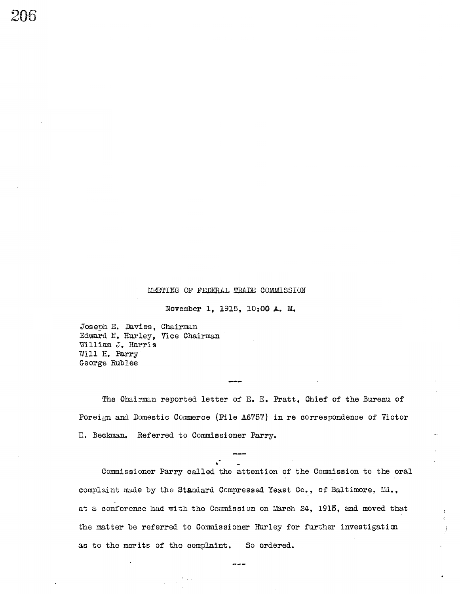#### MEETING OF FEDERAL TRADE COMMISSION

November 1, 1915, 10:00 A. M.

Joseph E. Davies, Chairman Edward N. Hurley, Vice Chairman William J. Harris Will H. Parry George Rublee

The Chairman reported letter of E. E. Pratt, Chief of the Bureau of Foreign and Domestic Commerce (File A6757) in re correspondence of Victor H. Beckman. Referred to Commissioner Parry.

Commissioner Parry called the attention of the Commission to the oral complaint made by the Standard Compressed Yeast Co., of Baltimore, Md., at a conference had with the Commission on March 24, 1915, and moved that the matter be referred to Commissioner Hurley for further investigation as to the merits of the complaint. So ordered.

 $- - -$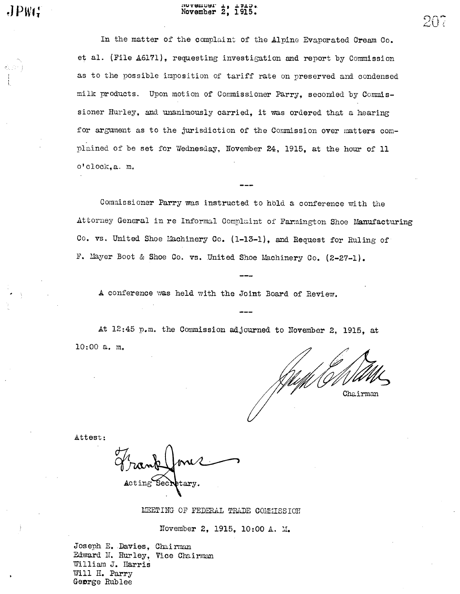## Movember 2, 1915.

In the matter of the complaint of the Alpine Evaporated Cream Co. et al. (File A6171), requesting investigation and report by Commission as to the possible imposition of tariff rate on preserved and condensed milk products. Upon motion of Commissioner Parry, seconded by Commissioner Hurley, and unanimously carried, it was ordered that a hearing for argument as to the jurisdiction of the Commission over matters complained of be set for Wednesday, November 24, 1915, at the hour of 11 o'clock.a. m.

Commissioner Parry was instructed to hold a conference with the Attorney General in re Informal Compluint of Farmington Shoe Manufacturing Co. vs. United Shoe Machinery Co. (1-13-1), and Request for Ruling of F. Mayer Boot & Shoe Co. vs. United Shoe Machinery Co. (2-27-1).

A conference was held with the Joint Board of Review.

At 12:45 p.m. the Commission adjourned to November 2, 1915, at  $10:00$  a. m.

Chairman

Attest:

 $JPWG$ 

MEETING OF FEDERAL TRADE COMMISSION

November 2, 1915, 10:00 A. M.

Joseph E. Davies, Chairman Edward N. Hurley, Vice Chairman William J. Harris Will H. Parry George Rublee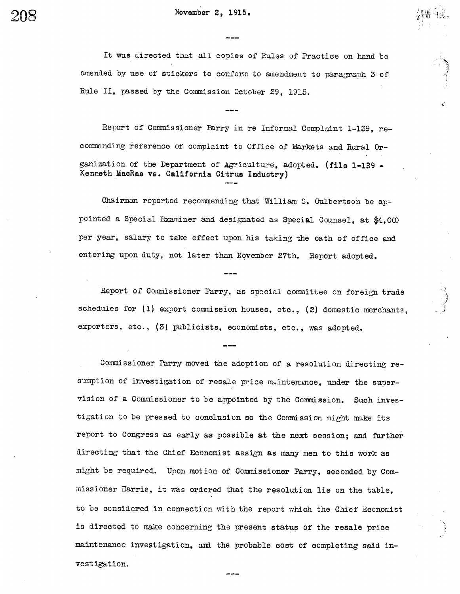November 2, 1915.

It was directed that all copies of Rules of Practice on hand be amended by use of stickers to conform to amendment to paragraph 3 of Rule II, passed by the Commission October 29, 1915.

 $\sim$  0  $\mu$  -  $\sim$  $r$  . The  $\epsilon$  .

Report of Commissioner Parry in re Informal Complaint 1-139, recommending reference of complaint to Office of Markets and Rural Organization of the Department of Agriculture, adopted. (file 1-139 -Kenneth MacRae VB. California Citrus Industry)

Chairman reported recommending that William S. Culbertson be appointed a Special Examiner and designated as Special Counsel, at  $$4,000$ per year, salary to take effect upon his taking the oath of office and entering upon duty, not later than November 27th. Report adopted.

Report of Commissioner Parry, as special committee on foreign trade schedules for  $(1)$  export commission houses, etc.,  $(2)$  domestic merchants, exporters, etc., (3) publicists, economists, etc., was adopted.

Commissioner Parry moved the adoption of a resolution directing resumption of investigation of resale price maintenance, under the supervision of a Commissioner to be appointed by the Commission. Such investigation to be pressed to conclusion so the Commission might make its report to Congress as early as possible at the next session; and futher directing that the Chief Economist assign as many men to this work as might be required. Upon mot ion of Commissioner Parry, seconded by commissioner Harris, it was ordered that the resolution lie on the table, to be considered in connection with the report which the Chief Economist is directed to make concerning the present status of the resale price maintenance investigation, an the probable cost of completing said investigation.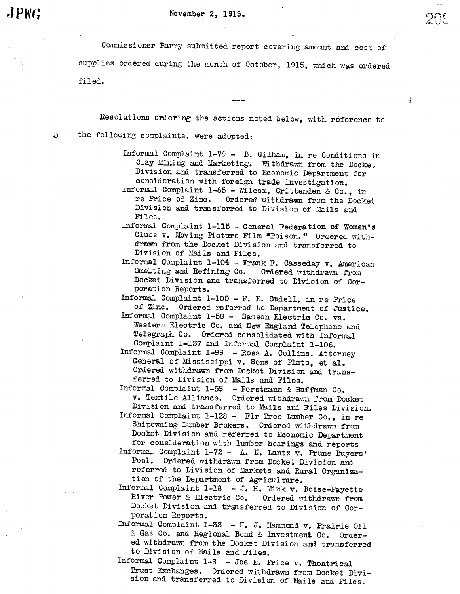tJ!

 $\mathbf{I}$ 

Commissioner Parry submitted report covering amount and cost of supplies ordered during the month of October, 1915, which was ordered filed.

Resolutions ordering the actions noted below, with reference to

ž)

the following complaints, were adopted:

- Informal Complaint 1-79 B. Gilham, in re Conditions in Clay Mining and Marketing. Withdrawn from the Docket Di vision and transferred to Economic Department for consideration with foreign trade investigation.
- Informal Complaint 1-65 Wilcox, Crittenden & Co., in re Price of Zinc. Ordered withdrawn from the Docket Division and transferred to Division of Mails and Files.
- Informal Complaint 1-115 General Federation of Women's Clubs v. Moving Picture Film "Poison." Ordered withdrawn from the Docket Division and transferred to Division of Mails and Files.
- Informal Complaint  $1-104$  Frank F. Casseday  $v$ . American Smelting and Refining Co. Ordered withdrawn from Docket Division and transferred to Division of Corporation Reports.

Informal Complaint 1-100 - F. E. Cudell, in re Price of Zinc. Ordered referred to Department of Justice.

- Informal Complaint 1-58 Samson Electric Co. vs. Western Electric Co. and New England Telephone and Telegraph Co. Ordered consolidated with Informal Complaint 1-137 and Informal Complaint 1-106.
- Informal Complaint 1-99 Ross A. Collins, Attorney General of Mississippi  $v$ . Sons of Plato, et al. Ordered withdrawn from Docket Division and transferred to Division of Mails and Files.
- Informal Complaint 1-59 Forstmann & Huffman Co.<br>v. Textile Alliance. Ordered withdrawn from Docket Division and transferred to Mails and Files Division.
- Informal Complaint 1-128 Fir Tree Lumber Co.. in re Shipowning Lumber Brokers. Ordered withdrawn from Docket Division and referred to Economic Department for consideration with lumber hearings and reports.
- Informal Complaint 1-72 A. N. Lantz v. Prune Buyers' Pool. Ordered withdrawn from Docket Division and referred to Division of Markets and Rural Organiza-<br>tion of the Department of Agriculture.
- Informal Complaint 1-18 J. H. Mink v. Boise-Payette River Power & Electric Co. Ordered withdravm from Docket Division and transferred to Division of Corporation Reports.
- Informal Complaint 1-33 H. J. Hammond v. Prairie Oil & Gas Co. and Regional Bond & Investment Co. Ordered withdrawn from the Docket Division and transferred to Division of Mails and Files.
- Informal Complaint 1-8 Joe E. Price v. Theatrical<br>Trust Exchanges. Ordered withdrawn from Docket Division and transferred to Division of Mails and Files.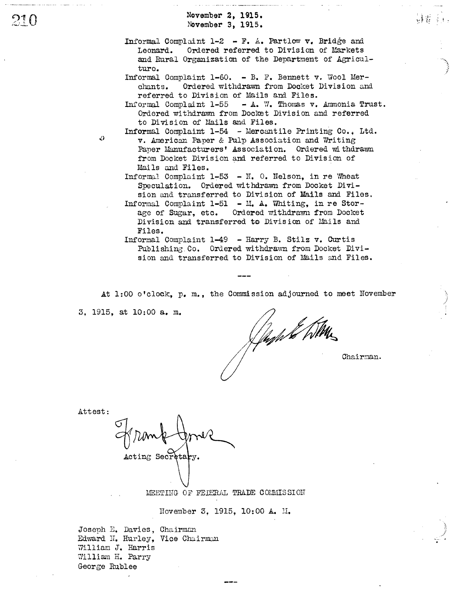November 2, 1915. November 3, 1915.

Informal Complaint 1-2 - F. A. Partlow v. Bridge and Leonard. Ordered referred to Division of Markets and Rural Organization of the Department of Agriculture.

a was a sir we aggined come workers and the

- Informal Complaint 1-60. B. F. Bennett v. Wool Merchants. Ordered withdrawn from Docket Division and referred to Division of Mails and Files.
- Informal Complaint 1-55 A. W. Thomas v. Ammonia Trust. Ordered withdrawn from Docket Division and referred to Division of Mails and Files.
- Informal Complaint 1-54 Mercantile Printing Co., Ltd. v. American Paper & Pulp Association and Writing Paper Manufacturers' Association. Ordered withdrawn from Docket Division and referred to Division of Mails and Files.

Informal Complaint 1-53 - N. O. Nelson, in re Wheat Speculation. Ordered withdrawn from Docket Division and transferred to Division of Mails and Files. Informal Complaint 1-51 - M. A. Whiting, in re Stor-

age of Sugar, etc. Ordered withdrawn from Docket Division and transferred to Division of Mails and Files.

Informal Complaint 1-49 - Harry B. Stilz v. Curtis Publishing Co. Ordered withdrawn from Docket Division and transferred to Division of Mails and Files.

At 1:00 o'clock, p. m., the Commission adjourned to meet November

3, 1915, at 10:00 a. m.

(fach te htm

Chairman.

Attest:

D

Acting Secretary.

MEETING OF FEDERAL TRADE COMMISSION

November 3, 1915, 10:00 A. M.

Joseph E. Davies, Chairman Edward N. Hurley, Vice Chairman William J. Harris William H. Parry George Rublee

21 O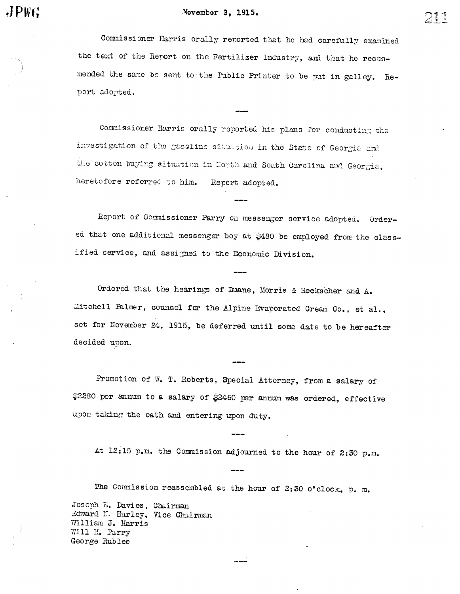### November 3, 1915.

 $JPWG$ 

つしし

Commissioner Harris orally reported that he had carefully examined the text of the Report on the Fertilizer Industry, and that he recommended the same be sent to the Public Printer to be put in galley. Report adopted.

Commissioner Harris orally reported his plans for conducting the investigation of the gaseline sitution in the State of Georgia and the cotton buying situation in North and South Carolina and Georgia, heretofore referred to him. Report adopted.

Report of Commissioner Parry on messenger service adopted. Ordered that one additional messenger boy at \$480 be employed from the classified service, and assigned to the Economic Division.

Ordered that the hearings of Duane, Morris & Heckscher and A. Mitchell Palmer, counsel for the Alpine Evaporated Cream Co., et al., set for November 24, 1915, be deferred until some date to be hereafter decided upon.

Promotion of W. T. Roberts, Special Attorney, from a salary of \$2280 per annum to a salary of \$2460 per annum was ordered, effective upon taking the oath and entering upon duty.

At 12:15 p.m. the Commission adjourned to the hour of 2:30 p.m.

The Commission reassembled at the hour of 2:30 o'clock, p. m. Joseph E. Davies, Chairman Edward N. Hurley, Vice Chairman William J. Harris Will H. Parry George Rublee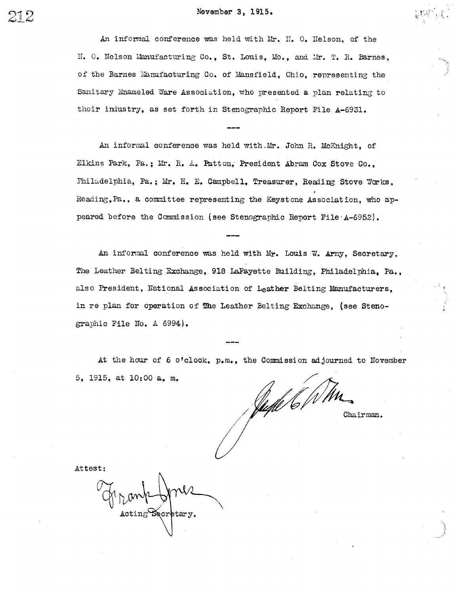An informal conference was held with Mr. H. O. Helson, of the N. O. Nelson Manufacturing Co., St. Louis, Mo., and Mr. T. R. Barnes. of the Barnes Manufacturing Co. of Mansfield, Ohio, representing the Sanitary Enameled Ware Association, who presented a plan relating to their industry, as set forth in Stenographic Report File A-6931.

An informal conference was held with Mr. John R. McKnight, of Elkins Park, Pa.; Mr. R. A. Patton, President Abram Cox Stove Co., Philadelphia, Pa.; Mr. H. E. Campbell. Treasurer, Reading Stove Works. Reading, Pa., a committee representing the Keystone Association, who appeared before the Commission (see Stenographic Report File A-6952).

An informal conference was held with Mr. Louis W. Arny. Secretary. The Leather Belting Exchange, 918 LaFayette Building, Philadelphia, Pa., also President, National Association of Leather Belting Manufacturers. in re plan for operation of The Leather Belting Exchange, (see Stenographic File No. A 6994).

At the hour of 6 o'clock, p.m., the Commission adjourned to November 5. 1915. at 10:00 a. m.

"WE WM Chairman.

Attest:

 $\texttt{ActingSecurity.}$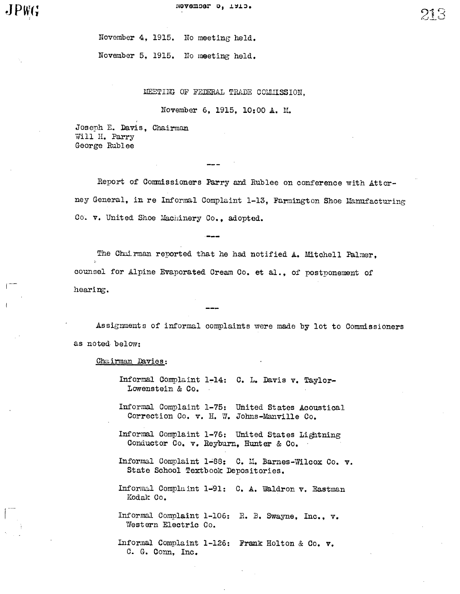$-1$ ,  $-1$ 

November 4, 1915. No meeting' held.

November 5, 1915. No meeting held.

### MEETING OF FEDERAL TRADE COMMISSION.

November 6, 1915, 10:00 A. M.

Joseph E. Davis. Chairman Will H. Parry George Rublee

Report of Commissioners Parry and Rublee on conference with Attorney General, in re Informal Complaint 1-13, Farmington Shoe Manufacturing Co. v. United Shoe Machinery Co., adopted.

The Chairman reported that he had notified A. Mitchell Palmer, counsel for Alpine Evaporated Cream Co. et al., of postponement of hearing.

Assignments of informal complaints were made by lot to Commissioners as noted, below:

Chairman Davies:

Informal Complaint 1-14: C. L. Davis v. Taylor-Lowenstein & Co.

Informal Complaint 1-75: United States Acoustical Correction Co. v. H. W. Johns-Manville Co.

Informal Complaint 1-76: United States Lightning Conductor Co. v. Reyburn, Hunter & Co.

Informal Complaint 1 88: C. 11. Barnes-Wilcox Co. v. State School Textbook Depositories.

Informal Complaint 1-91: C. A. Waldron v. Eastman Kodale Co.

Informal Complaint 1-106: R. B. Swayne, Inc., v. Western Electric Co.

Informal Complaint 1-126: Frank Holton & Co. v.C. G. Conn, Inc.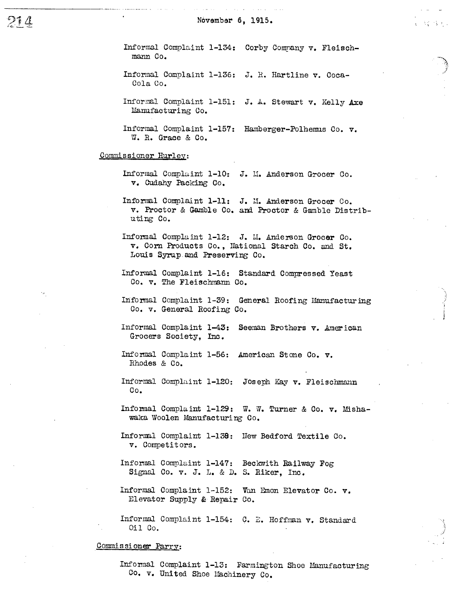Informal Complaint 1-134: Corby Commany v. Fleischmann Co.

 $\mathcal{L}(\mathcal{C})$  ,  $\mathcal{L}(\mathcal{C})$  ,

Informal Complaint 1-136: J. R. Hartline v. Coca-Cola Co.

Informal Complaint 1-151: J. A. Stewart v. Kelly Axe Manufacturing Co.

Informal Complaint 1-157: Hamberger-Polhemus Co. v. W. R. Grace & Co.

### Commissioner Hurley:

- Informal Complaint 1-10: J. M. Anderson Grocer Co. v. Cudahy Packing Co.
- Informal Complaint 1-11: J. M. Anderson Grocer Co. v. Proctor & Gamble Co. and Proctor & Gamble Distributing Co.
- Informal Complaint 1-12: J. M. Anderson Grocer Co. v. Corn Products Co., National Starch Co. and St. Louis Syrup and Preserving Co.
- Informal Complaint 1-16: Standard Compressed Yeast Co. v. The Fleischmann Co.
- Informal Complaint 1-39: General Roofing Manufacturing Co. v. General Roofing Co.
- Informal Complaint 1-43: Seeman Brothers v. American Grocers Society, Inc.
- Informal Complaint 1-56: American Stone Co. v. Rhodes & Co.
- Informal Complaint 1-120: Joseph Kay v. Fleischmann Co.
- Informal Complaint 1-129: W. W. Turner & Co. v. Mishawaka Woolen Manufacturing Co.
- Informal Complaint 1-138: New Bedford Textile Co. v. Competitors.
- Informal Complaint 1-147: Beckwith Railway Fog Signal Co. v. J. L. & D. S. Riker, Inc.
- Informal Complaint 1-152: Van Emon Elevator Co. v. Elevator Supply & Repair Co.

Informal Complaint 1-154: C. E. Hoffman v. Standard Oil Co.

#### Commissioner Parry:

Informal Complaint 1-13: Farmington Shoe Manufacturing Co. v. United Shoe Machinery Co.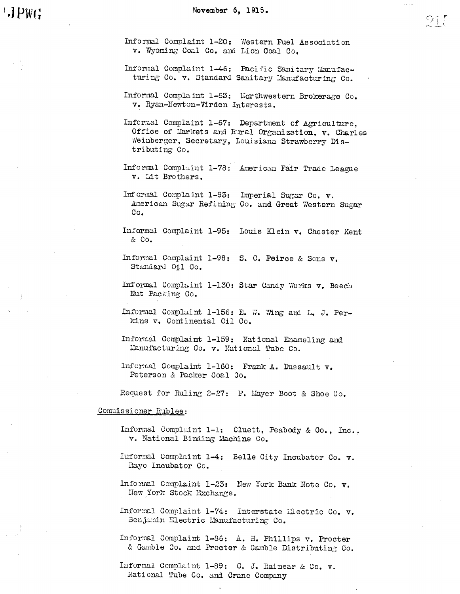Informal Complaint 1-20: Western Fuel Association v. Wyoming Coal Co. and Lion Coal Co.

- Informal Complaint 1-46: Pacific Sanitary Manufacturing Co. v. Standard Sanitary Manufacturing Co.
- Informal Complaint 1-63: Northwestern Brokerage Co. v. Ryan-Newton-Virden Interests.

Informal Complaint 1-67: Department of Agriculture, Office of Markets and Rural Organization, v. Charles Weinberger, Secretary, Louisiana Strawberry Distributing Co.

- Informal Complaint 1-78: American Fair Trade League v. Lit Brothers.
- Informal Complaint 1-93: Imperial Sugar Co. v. American Sugar Refining Co. and Great Western Sugar Co.
- Informal Complaint 1-95: Louis Klein v. Chester Kent & Co.
- Informal Complaint 1-98: S. C. Peirce & Sons v. Standard 011 Co.
- Informal Complaint 1-130: Star Candy Works v. Beech Nut Packing Co.
- Informal Complaint 1-156: E. W. Wing and L. J. Perkins v. Continental Oil Co.
- Informal Complaint 1-159: National Enameling and Manufacturing Co. v. National Tube Co.
- Informal Complaint 1-160: Frank A. Dussault v. Peterson & Packer Coal Co.

Request for Ruling 2-27: F. Mayer Boot & Shoe Co.

### Commissioner Rublee:

- Informal Complaint 1-1: Cluett, Peabody & Co., Inc., v. National Binding Machine Co.
- Informal Complaint 1-4: Belle City Incubator Co. v. Rayo Incubator Co.
- Informal Complaint 1-23: New York Bank Note Co. v. New York Stock Exchange.
- Informal Complaint 1-74: Interstate Electric Co. v. Benjamin Electric Manufacturing Co.
- Informal Complaint 1-86: A. H. Phillips v. Procter & Gamble Co. and Procter & Gamble Distributing Co.

Informal Complaint 1-89: C. J. Rainear & Co. v. National Tube Co. and Crane Company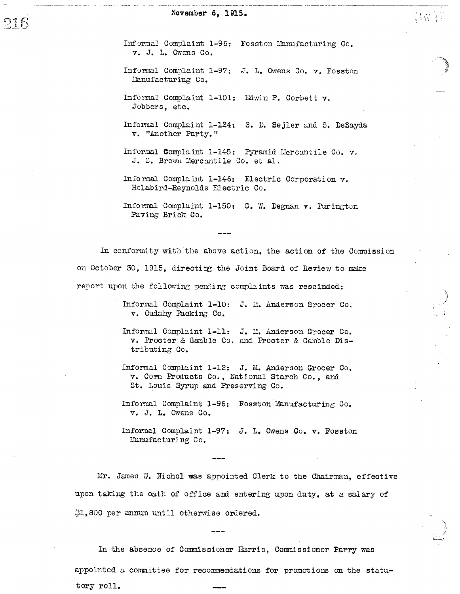Informal Complaint 1-96: Fosston Manufacturing Co. v. J. L. Owens Co.

真诚自言

- Informal Complaint 1-97: J. L. Owens Co. v. Fosston Manufacturing Co.
- Informal Complaint 1-101: Edwin P. Corbett v. Jobbers, etc.
- Informal Complaint 1-124: S. D. Sejler and S. DeSayda v. "Another Party."
- Informal Complaint 1-145: Pyramid Mercantile Co. v. J. S. Brown Mercantile Co. et al.
- Informal Complaint 1-146: Electric Corporation v. Holabird-Reynolds Electric Co.
- Informal Complaint 1-150: C. W. Degnan v. Purington Paving Brick Co.

In conformity with the above action, the action of the Commission on October 30, 1915, directing the Joint Board of Review to make report upon the following pending complaints was rescinded:

- Informal Complaint 1-10: J. M. Anderson Grocer Co. v. Cudahy Packing Co.
- Informal Complaint 1-11: J. M. Anderson Grocer Co. v. Procter & Gamble Co. and Procter & Gamble Distributing Co.
- Informal Complaint 1-12: J. M. Anderson Grocer Co. v. Corn Products Co., National Starch Co., and St. Louis Syrup and Preserving Co.
- Informal Complaint 1-96: Fosston Manufacturing Co. v. J. L. Owens Co.
- Informal Complaint 1-97: J. L. Owens Co. v. Fosston Mamufacturing Co.

Mr. James W. Nichol was appointed Clerk to the Chairman. effective upon taking the oath of office and entering upon duty, at a salary of \$1,800 per annum until otherwise ordered.

In the absence of Commissioner Harris, Commissioner Parry was appointed a committee for recommendations for promotions on the statutory roll.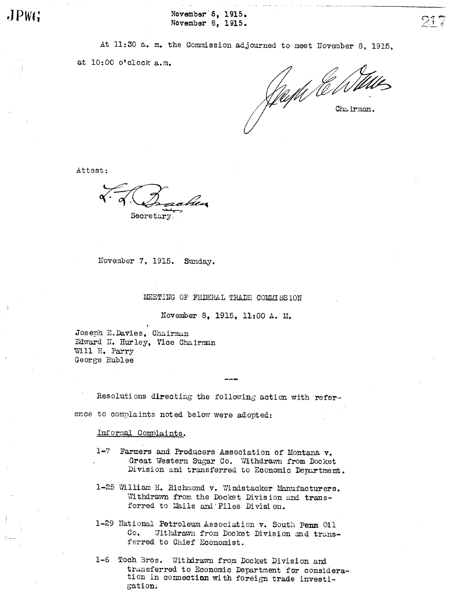$JPW(\frac{1}{2})$ November 8, 1915.  $\overline{21}$ 

At 11:30 a. m. the Commission adjourned to meet November 8, 1915,

at 10:00 o'clock a.m.

Sull CONTIN

Attest:

Secretary.

November 7, 1915. Sunday.

MEETING OF FEDERAL TRADE COMMISSION

November 8, 1915, 11:00 A. M.

Joseph E. Davies, Chairman Edward N. Hurley, Vice Chairman Will H. Parry George Rublee

Resolutions directing the following action with reference to complaints not ed below were adopted:

Informal Complaints.

- 1-7 Farmers and Producers Association of Montana v. Great Western Sugar Co. Withdrawn from Docket Division and transferred to Economic Department.
- 1-25 William H. Richmond v. Windstacker Manufacturers. Withdrawn from the Docket Division and transferred to Mails and Files Division.
- 1-29 National Petroleum Association v. South Penn Oil Co. Withdrawn from Docket Division and transferred to Chief Economist.
- 1-6 Toch Bros. Withdrawn from Docket Division and transferred to Economic Depatment for consideration in connection with foreign trade investigation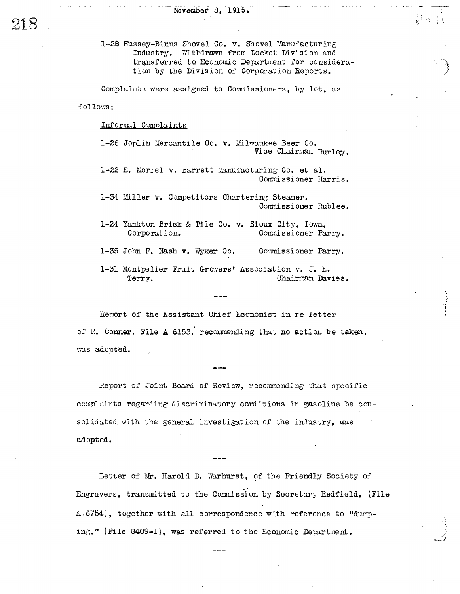1-28 Hussey-Binns Shovel Co. v. Shovel Manufacturing Industry. Withdrawn from Docket Division and transferred to Economic Department for consideration by the Division of Corporation Reports.

Hm R.

Complaints were assigned to Commissioners, by lot, as

follows:

Informal Complaints

1-26 Joplin Mercantile Co. v. Milwaukee Beer Co. Vice Chairman Hurley.

1-22 E. Morrel v. Barrett Manufacturing Co. et al. Commissioner Harris.

1-34 Miller v. Competitors Chartering Steamer. Commissioner Rublee.

1-24 Yankton Brick & Tile Co. v. Sioux City, Iowa, Corporation. Commissioner Parry.

1-35 John F. Nash v. Wyker Co. Commissioner Parry.

1-31 Montpelier Fruit Growers' Association v. J. E. Chairman Davies. Terry.

Report of the Assistant Chief Economist in re letter of R. Conner, File A 6153, recommending that no action be taken, was adopted.

Report of Joint Board of Review, recommending that specific complaints regarding discriminatory comitions in gasoline be consolidated with the general investigation of the industry, was adopted.

Letter of Mr. Harold D. Warhurst, of the Friendly Society of Engravers, transmitted to the Commission by Secretary Redfield, (File A.6754), together with all correspondence with reference to "dumping," (File 8409-1), was referred to the Economic Department.

218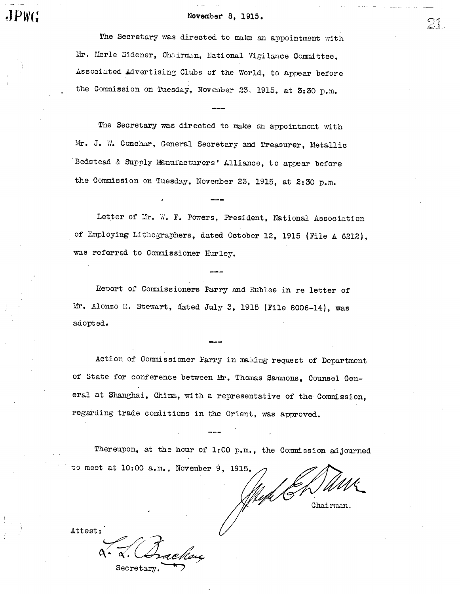# $\mathbf{J}$   $\mathbf{P}$ W( $\mathbf{r}$  and  $\mathbf{V}$   $\mathbf{A}$   $\mathbf{A}$   $\mathbf{A}$   $\mathbf{A}$   $\mathbf{A}$   $\mathbf{A}$   $\mathbf{A}$   $\mathbf{A}$   $\mathbf{A}$   $\mathbf{A}$   $\mathbf{A}$   $\mathbf{A}$   $\mathbf{A}$   $\mathbf{A}$   $\mathbf{A}$   $\mathbf{A}$   $\mathbf{A}$   $\mathbf{A}$   $\mathbf{A}$   $\mathbf{A}$

The Secretary was directed to make an appointment with Mr. Merle Sidener, Chairman, Hational Vigilance Committee, Associ ted Advertising Clubs of the World, to appear before the Commission on Tuesday, November 23, 1915, at 3:30 p.m.

The Secretary was directed to make an appointment with Mr. J. W. Conchar, General Secretary and Treasurer, Metallic Bedstead & Supply Manufacturers' Alliance, to appear before the Commission on Tuesday, November 23, 1915, at 2:30 p.m.

Letter of Mr. W. F. Powers, President, National Association of Employing Lithographers, dated October 12, 1915 (File A 6212), was referred to Commissioner Hurley.

Report of Commissioners Parry and Rublee in re letter of Mr. Alonzo H. Stewart, dated July 3, 1915 (File 8006-14), was adopted.

Action of Commissioner Parry in making request of Department of State for conference between Mr. Thomas Sammons, Counsel General at Shanghai, China, with a representative of the Commission, regarding trade conditions in the Orient, was approved.

Thereupon, at the hour of 1:00 p.m., the Commission adjourned to meet at  $l0:00$  a.m., November 9, 1915.

Chai rman.

Attest:

Secretary.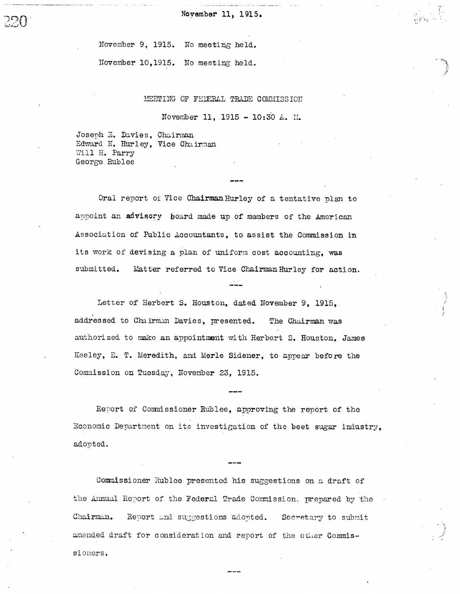November 9, 1915. No meeting held.

November 10,1915. No meeting held.

### MEETING OF FEDERAL TRADE COMMISSION

November 11, 1915 - 10:30 A. M.

Joseph E. Davies, Chairman Edward N. Hurley. Vice Chairman Will H. Parry George Rublee

Oral report of Vice Chairman Hurley of a tentative plan to appoint an advisory board made up of members of the American Association of Public Accountants, to assist the Commission in its work of devising a plan of uniform cost accounting, was submitted. Matter referred to Vice Chairman Hurley for action.

Letter of Herbert S. Houston, dated November 9, 1915. addressed to Chairman Davies, presented. The Chairman was authorized to make an appointment with Herbert S. Houston, James Keeley, E. T. Meredith, and Merle Sidener, to appear before the Commission on Tuesday, November 23, 1915.

Report of Commissioner Rublee, approving the report of the Economic Department on its investigation of the beet sugar industry. adorted.

Commissioner Rublee presented his suggestions on a draft of the Annual Report of the Federal Trade Commission, prepared by the Chairman. Report and suggestions adopted. Secretary to submit amended draft for consideration and report of the other Commissioners.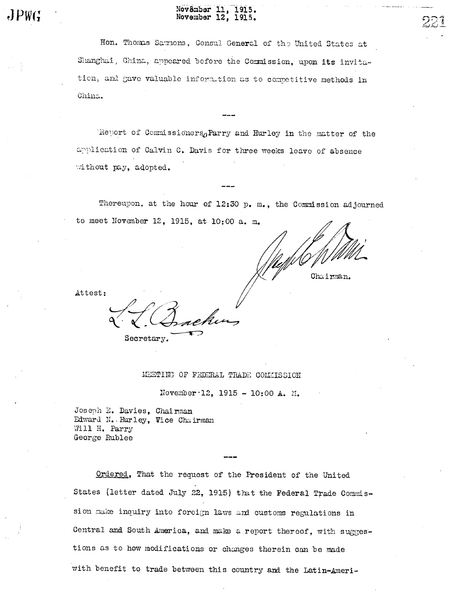# November 11, 1915.<br>November 12, 1915.

Hon. Thomas Sammons, Consul General of the United States at Shanghai, China, appeared before the Commission, upon its invitation, and gave valuable information as to competitive methods in China.

Report of Commissioners, Parry and Hurley in the matter of the application of Calvin C. Davis for three weeks leave of absence without pay, adopted.

Thereupon, at the hour of 12:30 p. m., the Commission adjourned to meet November 12, 1915, at 10:00 a. m.

Chairman.

Attest:

MEETING OF FEDERAL TRADE COMMISSION

November 12, 1915 - 10:00 A. M.

Joseph E. Davies, Chairman Edward N. Hurley, Vice Chairman Will H. Parry George Rublee

Secretary.

Ordered, That the request of the President of the United States (letter dated July 22, 1915) that the Federal Trade Commission make inquiry into foreign laws and customs regulations in Central and South America, and make a report thereof, with suggestions as to how modifications or changes therein can be made with benefit to trade between this country and the Latin-Ameri-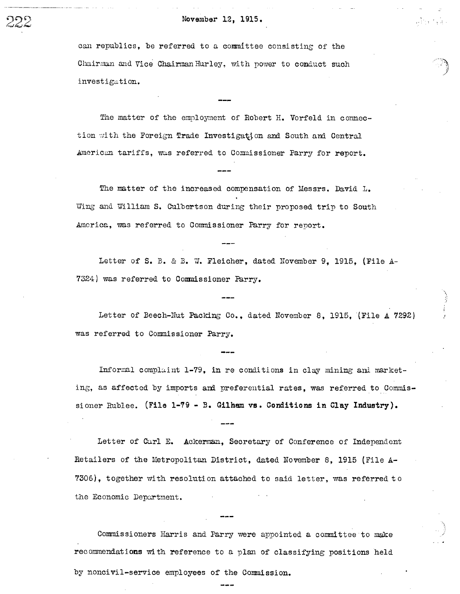### November 12, 1915.

can republics, be referred to a committee consisting of the Chairman and Vice Chairman Hurley, with power to conduct such investigation.

The matter of the employment of Robert H. Vorfeld in connection with the Foreign Trade Investigation and South and Central American tariffs, was referred to Commissioner Parry for report.

The matter of the increased compensation of Messrs. David L. Wing and William S. Culbertson during their proposed trip to South America, was referred to Commissioner Parry for report.

Letter of S. B. & B. W. Fleicher, dated November 9, 1915, (File A-7324) was referred to Commissioner Parry.

Letter of Beech-Nut Packing Co., dated November 8, 1915, (File A 7292) was referred to Commissioner Parry.

Informal complaint  $1-79$ , in re conditions in clay mining and marketing, as affected by imports and preferential rates, was referred to Commissi oner Rublee. (File 1-79 - B. Gilham VB. Conditions in Clay Industry).

Letter of Carl E. Ackerman, Secretary of Conference of Independent Retailers of the Metropolitan District, dated November 8, 1915 (File A-7306), together with resolution attached to said letter, was referred to the Economic Department.

Commissioners Harris and Parry were appointed a committee to make recommendations with reference to a plan of classifying positions held by noncivil-service employees of the Commission.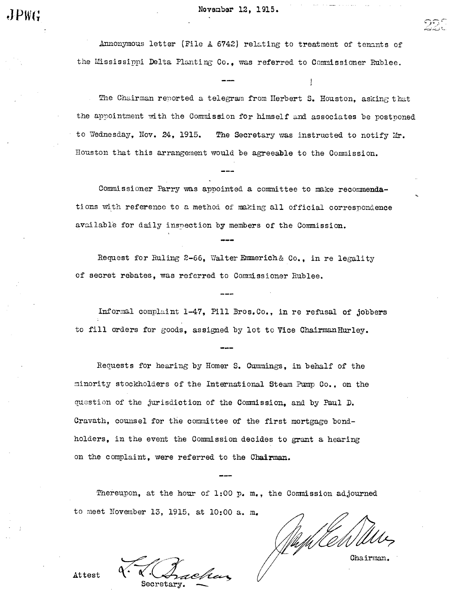Annonymous letter (File A  $6742$ ) relating to treatment of tenants of the Mississippi Delta Planting Co., was referred to Commissioner Rublee.

The Chairman renorted a telegram from Herbert S. Houston, asking that the appointment with the Commission for himself and associates be postponed to Wednesday, Nov. 24, 1915. The Secretary was instructed to notify Mr. Houston that this arrangement would be agreeable to the Comnission.

Commissioner Parry was appointed a committee to make recommendations with reference to a method of making all official correspondence available for daily inspection by members of the Commission.

Request for Ruling 2-66, Walter Emmerich& Co., in re legality of secret rebates, was referred to Commissioner Rublee.

Informal complaint 1-47, Pill Bros. Co., in re refusal of jobbers to fill orders for goods, assigned by lot to Vice Chairman Hurley.

Requests for hearing by Homer S. Cummings. in behalf of the minori ty stockholders of the International Steam Pup Co., on the question of the jurisdiction of the Commission, and by Paul D. Cravath, counsel for the committee of the first mortgage bondholders, in the event the Commission decides to grant a hearing on the complaint, were referred to the Chairman.

Thereupon, at the hour of 1:00 p. m., the Commission adjourned to meet November 13, 1915, at 10:00 a. m.

(Angelras

Chairman.

Attest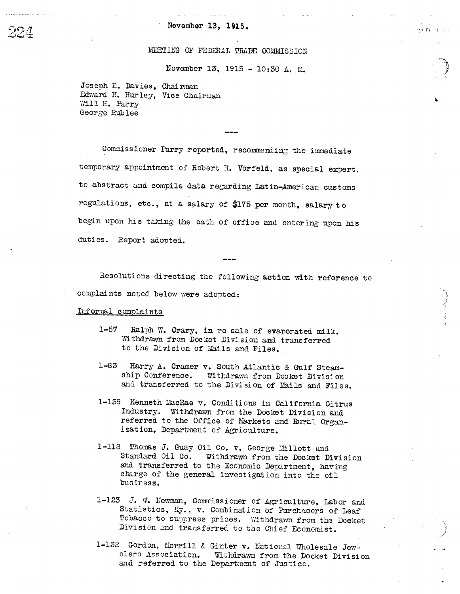### November 13, 1915.

### MEETING OF FEDERAL TRADE COMMISSION

November 13, 1915 - 10:30 A. M.

中国市

Joseph E. Davies, Chairman Edward N. Hurley, Vice Chairman Will H. Parry George Rublee

Commissioner Parry reported, recommending the immediate temporary appointment of Robert H. Vorfeld, as special expert. to abstract and compile data regarding Latin-American customs regulations, etc., at a salary of \$175 per month, salary to begin upon his taking the oath of office and entering upon his duties. Report adopted.

Resolutions directing the following action with reference to complaints noted below were adopted:

### Informal complaints

- $1 57$ Ralph W. Crary, in re sale of evaporated milk. Withdrawn from Docket Division and transferred to the Division of Mails and Files.
- $1 83$ Harry A. Cramer v. South Atlantic & Gulf Steamship Conference. Withdrawn from Docket Division and transferred to the Division of Mails and Files.
- 1-139 Kenneth MacRae v. Conditions in California Citrus Industry. Withdrawn from the Docket Division and referred to the Office of Markets and Rural Organization, Department of Agriculture.
- 1-118 Thomas J. Guay Oil Co. v. George Millett and Standard Oil Co. Withdrawn from the Docket Division and transferred to the Economic Department, having charge of the general investigation into the oil business.
- 1-123 J. W. Newman, Commissioner of Agriculture, Labor and Statistics, Ky., v. Combination of Purchasers of Leaf Tobacco to suppress prices. Withdrawn from the Docket Division and transferred to the Chief Economist.
- 1-132 Gordon, Morrill & Ginter v. National Wholesale Jewelers Association. Withdrawn from the Docket Division and referred to the Department of Justice.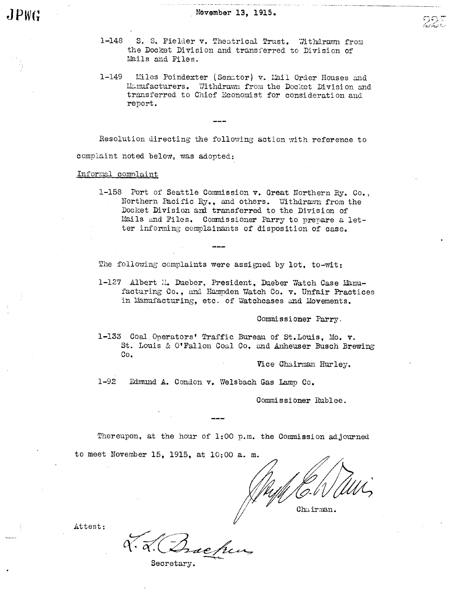- 1-148 S. S. Fielder v. Theatrical Trust. Withdrawn from the Docket Division and transferred to Division of Mails and Files.
- 1-149 Liles Poindexter (Senator) v. Lail Order Houses and Manufacturers. Withdrawn from the Docket Division and transferred to Chief Economist for consideration and report.

Resolution directing the following action with reference to complaint noted below, was adopted:

Informal complaint

1-158 Port of Seattle Commission v. Great Northern Ry. Co., Northern Pacific Ry., and others. Withdrawn from the Docket Division and transferred to the Division of Mails and Files. Commissioner Parry to prepare a letter informing complainants of disposition of case.

The following complaints were assigned by lot, to-wit:

1-127 Albert M. Dueber, President, Dueber Watch Case Manufacturing Co., and Hampden Watch Co. v. Unfair Practices in Manufacturing, etc. of Watchcases and Movements.

Commissioner Parry.

1-133 Coal Operators' Traffic Bureau of St. Louis, Mo. v. St. Louis & O'Fallon Coal Co. and Anheuser Busch Brewing Co.

Vice Chairman Hurley.

 $1 - 92$ Edmund A. Condon v. Welsbach Gas Lamp Co.

Commissioner Rublee.

Thereupon, at the hour of 1:00 p.m. the Commission adjourned

to meet November 15, 1915, at 10: 00 a. m.

Chairman.

Bachen

Attest: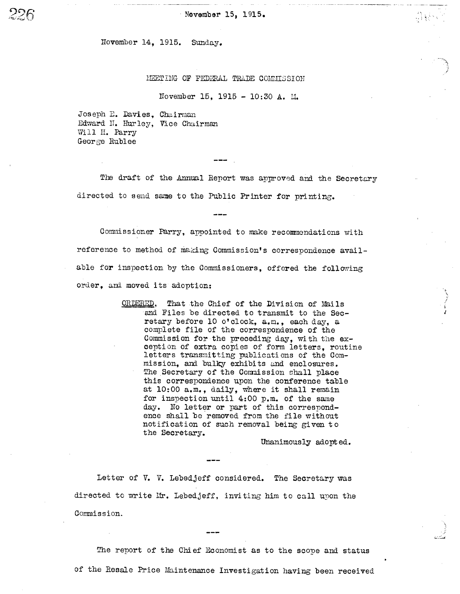Wovember 15, 1915.

November 14, 1915. Sunday.

2?R

### MEET ING OF FEDERAL TRADE COMMISSION

November 15, 1915 - 10:30 A. M.

Joseph E. Davies, Chairman Edward II. Hurley, Vice Chairman Will H. Parry George Rublee

The draft of the Annual Report was approved and the Secretary directed to send same to the Public Printer for printing.

Commissioner Parry, appointed to make recommendations with reference to method of making Commission's correspondence available for inspection by the Commissioners, offered the following order, and moved its adoption:

> ORDERED, That the Chief of the Division of Mails and Files be directed to transmit to the Secretary before 10 o'clock, a.m., each day, a complete file of the correspondence of the Commission for the preceding day, with the exception of extra copies of form letters, routine letters transmitting publicati ons of the Commission, and bulky exhibits and enclosures. The Secretary of the Commission shall place this correspondence upon the conference table at 10:00 a. m., daily, where it shall remain for inspection until  $4:00$  p.m. of the same day. No letter or part of this correspondence shall be removed from the file without notification of such removal being gi ven to the Secretary.

> > Unanimously adopt ed.

Letter of V. V. Lebedjeff considered. The Secretary was directed to write Mr. Lebedjeff, inviting him to call upon the Commission.

The report of the Chief Economist as to the scope and status of the Resale Price Maintenace Investigation having been received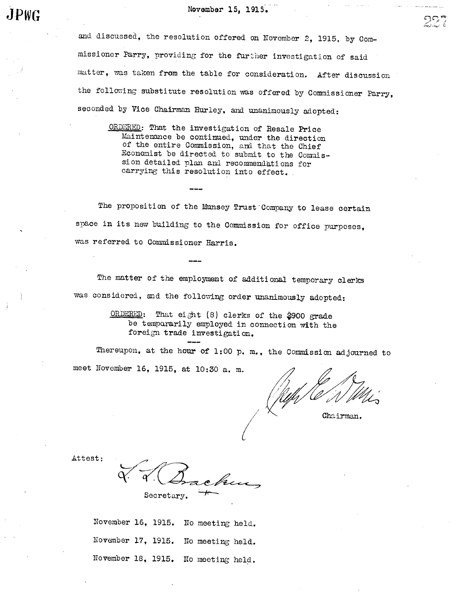and discussed, the resolution offered on November 2, 1915, by Commissioner Parry, providing for the further investigation of said matter, was taken from the table for consideration. After discussion the following substitute resolution was offered by Commissioner Parry, seconded by Vice Chairman Hurley, and unanimously adopted:

ORDERED: That the investigation of Resale Price Maintenace be continued, under the direction of the entire Commission, and that the Chief Economist be directed to submit to the Commission detailed plan and recommendations for carrying this resolution into effect.

The proposition of the Munsey Trust Company to lease certain space in its new building to the Commission for office purposes, was referred to Commissioner Harris.

The matter of the employment of additional temporary clerks was considered, and the following order unanimously adopted:

> ORDERED: That eight (8) clerks of the \$900 grade be temporarily employed in connection with the foreign trade investigation.

Thereupon, at the hour of 1:00 p. m., the Commission adjourned to meet November 16, 1915, at 10:30 a. m.

Chairman.

c-

Attest:

Secretary.

November 16, 1915. No meeting held. November 17, 1915. No meeting held. November 18, 1915. No meeting held.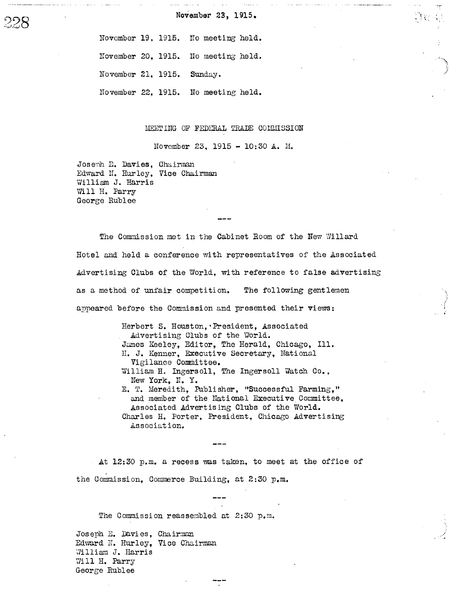November 23, 1915.

November 19, 1915. No meeting held.

November 20, 1915. No meeting held.

November 21, 1915. Sunday.

November 22, 1915. No meeting held.

MEETING OF FEDERAL TRADE COMMISSION

November 23, 1915 - 10:30 A. M.

Joseph E. Davies, Chairman Edward N. Hurley, Vice Chairman William J. Harris Will H. Parry George Rublee

The Commission met in the Cabinet Room of the New Willard Hotel and held a conference with representatives of the Associated Advertising Clubs of the World, with reference to false advertising as a method of unfair competition. The following gentlemen appeared before the Commission and presented their views:

> Herbert S. Houston, President, Associated Advertising Clubs of the World. James Keeley, Editor, The Herald, Chicago, Ill. H. J. Kenner, Executive Secretary, National Vigilance Committee. William H. Ingersoll, The Ingersoll Watch Co., New York, N. Y. E. T. Meredith, Publisher, "Successful Farming," and member of the National Executive Committee, Associated Advertising Clubs of the World. Charles H. Porter, President, Chicago Advertising Association.

At 12:30 p.m. a recess was taken, to meet at the office of the Commission, Commerce Building, at 2:30 p.m.

The Commission reassembled at 2:30 p.m.

Joseph E. Davies, Chairman Edward N. Hurley, Vice Chairman William J. Harris Will H. Parry George Rublee